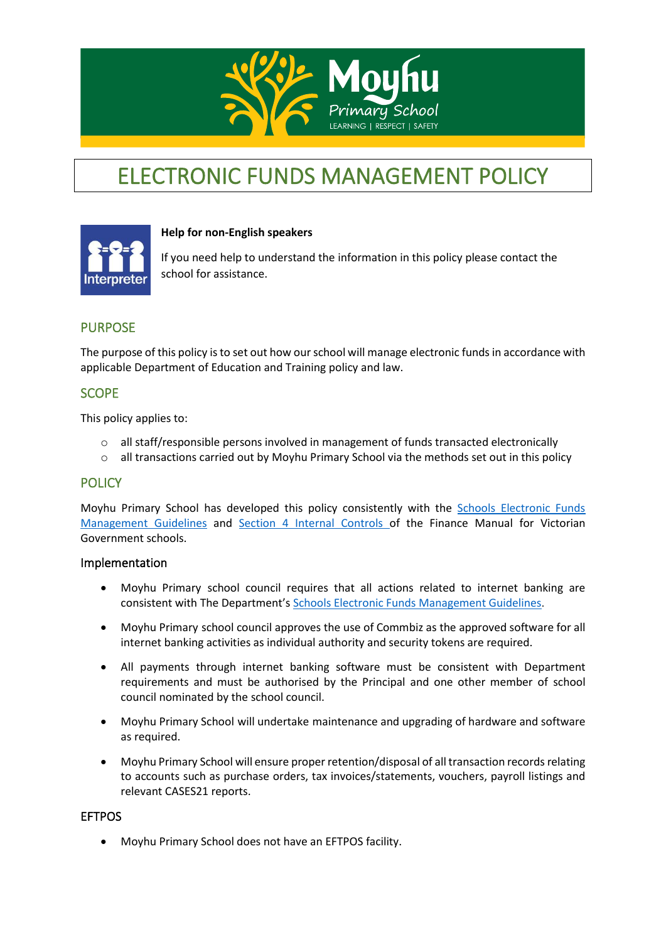

# ELECTRONIC FUNDS MANAGEMENT POLICY



## **Help for non-English speakers**

If you need help to understand the information in this policy please contact the school for assistance.

# PURPOSE

The purpose of this policy is to set out how our school will manage electronic funds in accordance with applicable Department of Education and Training policy and law.

## **SCOPE**

This policy applies to:

- $\circ$  all staff/responsible persons involved in management of funds transacted electronically
- $\circ$  all transactions carried out by Moyhu Primary School via the methods set out in this policy

## **POLICY**

Moyhu Primary School has developed this policy consistently with the [Schools Electronic Funds](http://www.education.vic.gov.au/Documents/school/principals/finance/Fin%20Schools%20Electronic%20Funds%20Management%20Guidelines%20V1_2.pdf)  [Management Guidelines](http://www.education.vic.gov.au/Documents/school/principals/finance/Fin%20Schools%20Electronic%20Funds%20Management%20Guidelines%20V1_2.pdf) and [Section 4 Internal Controls](http://www.education.vic.gov.au/Documents/school/teachers/management/fmvgssection4.pdf) of the Finance Manual for Victorian Government schools.

#### Implementation

- Moyhu Primary school council requires that all actions related to internet banking are consistent with The Department's [Schools Electronic Funds Management Guidelines](http://www.education.vic.gov.au/Documents/school/principals/finance/Fin%20Schools%20Electronic%20Funds%20Management%20Guidelines%20V1_2.pdf).
- Moyhu Primary school council approves the use of Commbiz as the approved software for all internet banking activities as individual authority and security tokens are required.
- All payments through internet banking software must be consistent with Department requirements and must be authorised by the Principal and one other member of school council nominated by the school council.
- Moyhu Primary School will undertake maintenance and upgrading of hardware and software as required.
- Moyhu Primary School will ensure proper retention/disposal of all transaction records relating to accounts such as purchase orders, tax invoices/statements, vouchers, payroll listings and relevant CASES21 reports.

#### EFTPOS

• Moyhu Primary School does not have an EFTPOS facility.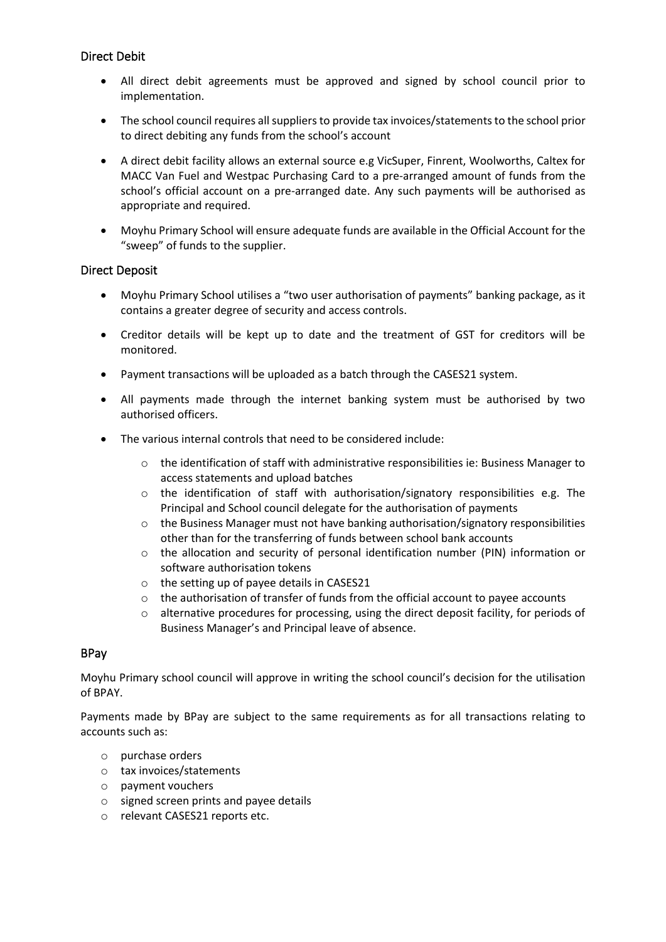## Direct Debit

- All direct debit agreements must be approved and signed by school council prior to implementation.
- The school council requires all suppliers to provide tax invoices/statements to the school prior to direct debiting any funds from the school's account
- A direct debit facility allows an external source e.g VicSuper, Finrent, Woolworths, Caltex for MACC Van Fuel and Westpac Purchasing Card to a pre-arranged amount of funds from the school's official account on a pre-arranged date. Any such payments will be authorised as appropriate and required.
- Moyhu Primary School will ensure adequate funds are available in the Official Account for the "sweep" of funds to the supplier.

#### Direct Deposit

- Moyhu Primary School utilises a "two user authorisation of payments" banking package, as it contains a greater degree of security and access controls.
- Creditor details will be kept up to date and the treatment of GST for creditors will be monitored.
- Payment transactions will be uploaded as a batch through the CASES21 system.
- All payments made through the internet banking system must be authorised by two authorised officers.
- The various internal controls that need to be considered include:
	- o the identification of staff with administrative responsibilities ie: Business Manager to access statements and upload batches
	- $\circ$  the identification of staff with authorisation/signatory responsibilities e.g. The Principal and School council delegate for the authorisation of payments
	- $\circ$  the Business Manager must not have banking authorisation/signatory responsibilities other than for the transferring of funds between school bank accounts
	- o the allocation and security of personal identification number (PIN) information or software authorisation tokens
	- o the setting up of payee details in CASES21
	- $\circ$  the authorisation of transfer of funds from the official account to payee accounts
	- o alternative procedures for processing, using the direct deposit facility, for periods of Business Manager's and Principal leave of absence.

#### BPay

Moyhu Primary school council will approve in writing the school council's decision for the utilisation of BPAY.

Payments made by BPay are subject to the same requirements as for all transactions relating to accounts such as:

- o purchase orders
- o tax invoices/statements
- o payment vouchers
- o signed screen prints and payee details
- o relevant CASES21 reports etc.